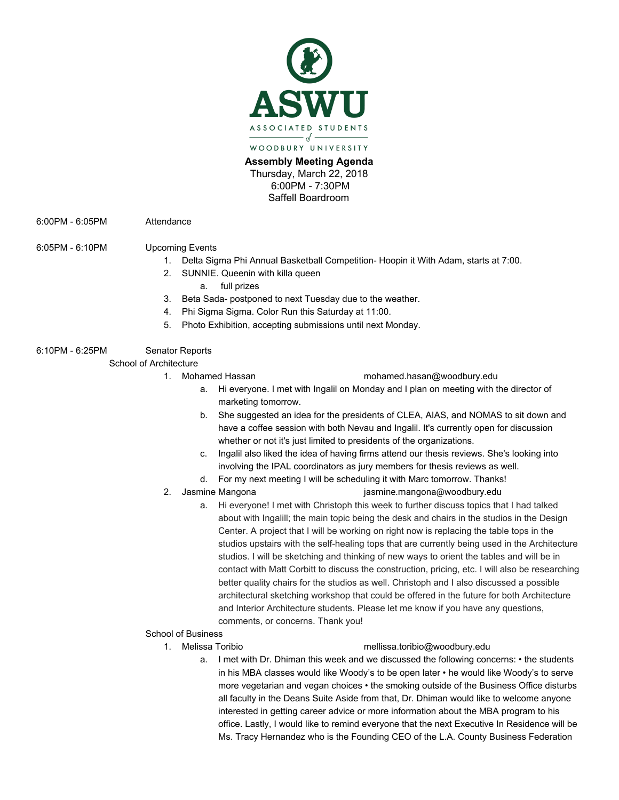

**Assembly Meeting Agenda** Thursday, March 22, 2018 6:00PM - 7:30PM Saffell Boardroom

6:00PM - 6:05PM Attendance

# 6:05PM - 6:10PM Upcoming Events

- 1. Delta Sigma Phi Annual Basketball Competition- Hoopin it With Adam, starts at 7:00.
- 2. SUNNIE. Queenin with killa queen
	- a. full prizes
- 3. Beta Sada- postponed to next Tuesday due to the weather.
- 4. Phi Sigma Sigma. Color Run this Saturday at 11:00.
- 5. Photo Exhibition, accepting submissions until next Monday.

# 6:10PM - 6:25PM Senator Reports

School of Architecture

### 1. Mohamed Hassan m[ohamed.hasan@woodbury.edu](mailto:Mohamed.Hasan@woodbury.edu)

- a. Hi everyone. I met with Ingalil on Monday and I plan on meeting with the director of marketing tomorrow.
- b. She suggested an idea for the presidents of CLEA, AIAS, and NOMAS to sit down and have a coffee session with both Nevau and Ingalil. It's currently open for discussion whether or not it's just limited to presidents of the organizations.
- c. Ingalil also liked the idea of having firms attend our thesis reviews. She's looking into involving the IPAL coordinators as jury members for thesis reviews as well.
- d. For my next meeting I will be scheduling it with Marc tomorrow. Thanks!

- 2. Jasmine Mangona [jasmine.mangona@woodbury.edu](mailto:jasmine.mangona@woodbury.edu)
	- a. Hi everyone! I met with Christoph this week to further discuss topics that I had talked about with Ingalill; the main topic being the desk and chairs in the studios in the Design Center. A project that I will be working on right now is replacing the table tops in the studios upstairs with the self-healing tops that are currently being used in the Architecture studios. I will be sketching and thinking of new ways to orient the tables and will be in contact with Matt Corbitt to discuss the construction, pricing, etc. I will also be researching better quality chairs for the studios as well. Christoph and I also discussed a possible architectural sketching workshop that could be offered in the future for both Architecture and Interior Architecture students. Please let me know if you have any questions, comments, or concerns. Thank you!

## School of Business

### 1. Melissa Toribio [mellissa.toribio@w](mailto:mellytoribio@gmail.com)oodbury.edu

a. I met with Dr. Dhiman this week and we discussed the following concerns: • the students in his MBA classes would like Woody's to be open later • he would like Woody's to serve more vegetarian and vegan choices • the smoking outside of the Business Office disturbs all faculty in the Deans Suite Aside from that, Dr. Dhiman would like to welcome anyone interested in getting career advice or more information about the MBA program to his office. Lastly, I would like to remind everyone that the next Executive In Residence will be Ms. Tracy Hernandez who is the Founding CEO of the L.A. County Business Federation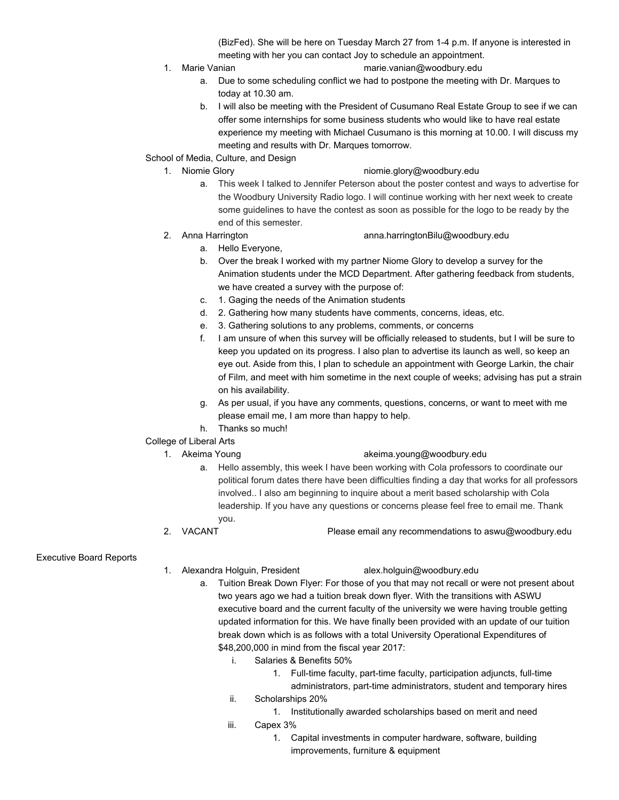(BizFed). She will be here on Tuesday March 27 from 1-4 p.m. If anyone is interested in meeting with her you can contact Joy to schedule an appointment.

- 
- 1. Marie Vanian m[arie.vanian@woodbury.edu](mailto:Marie.vanian@woodbury.edu)
	- a. Due to some scheduling conflict we had to postpone the meeting with Dr. Marques to today at 10.30 am.
	- b. I will also be meeting with the President of Cusumano Real Estate Group to see if we can offer some internships for some business students who would like to have real estate experience my meeting with Michael Cusumano is this morning at 10.00. I will discuss my meeting and results with Dr. Marques tomorrow.
- School of Media, Culture, and Design
	-

### 1. Niomie Glory [niomie.glory@woodbury.edu](mailto:Niomie.Glory@woodbury.edu)

- a. This week I talked to Jennifer Peterson about the poster contest and ways to advertise for the Woodbury University Radio logo. I will continue working with her next week to create some guidelines to have the contest as soon as possible for the logo to be ready by the end of this semester.
- 
- 2. Anna Harrington [anna.harringtonBilu@woodbury.edu](mailto:Anna.HarringtonBilu@woodbury.edu)
	- a. Hello Everyone,
	- b. Over the break I worked with my partner Niome Glory to develop a survey for the Animation students under the MCD Department. After gathering feedback from students, we have created a survey with the purpose of:
	- c. 1. Gaging the needs of the Animation students
	- d. 2. Gathering how many students have comments, concerns, ideas, etc.
	- e. 3. Gathering solutions to any problems, comments, or concerns
	- f. I am unsure of when this survey will be officially released to students, but I will be sure to keep you updated on its progress. I also plan to advertise its launch as well, so keep an eye out. Aside from this, I plan to schedule an appointment with George Larkin, the chair of Film, and meet with him sometime in the next couple of weeks; advising has put a strain on his availability.
	- g. As per usual, if you have any comments, questions, concerns, or want to meet with me please email me, I am more than happy to help.
	- h. Thanks so much!
- College of Liberal Arts
	-

## 1. Akeima Young [akeima.young@](mailto:akeimayoung@hotmail.com)woodbury.edu

- a. Hello assembly, this week I have been working with Cola professors to coordinate our political forum dates there have been difficulties finding a day that works for all professors involved.. I also am beginning to inquire about a merit based scholarship with Cola leadership. If you have any questions or concerns please feel free to email me. Thank you.
- 2. VACANT Please email any recommendations to aswu@woodbury.edu

## Executive Board Reports

- 1. Alexandra Holguin, President alex.holguin@woodbury.edu
- - a. Tuition Break Down Flyer: For those of you that may not recall or were not present about two years ago we had a tuition break down flyer. With the transitions with ASWU executive board and the current faculty of the university we were having trouble getting updated information for this. We have finally been provided with an update of our tuition break down which is as follows with a total University Operational Expenditures of \$48,200,000 in mind from the fiscal year 2017:
		- i. Salaries & Benefits 50%
			- 1. Full-time faculty, part-time faculty, participation adjuncts, full-time administrators, part-time administrators, student and temporary hires
		- ii. Scholarships 20%
			- 1. Institutionally awarded scholarships based on merit and need
		- iii. Capex 3%
			- 1. Capital investments in computer hardware, software, building improvements, furniture & equipment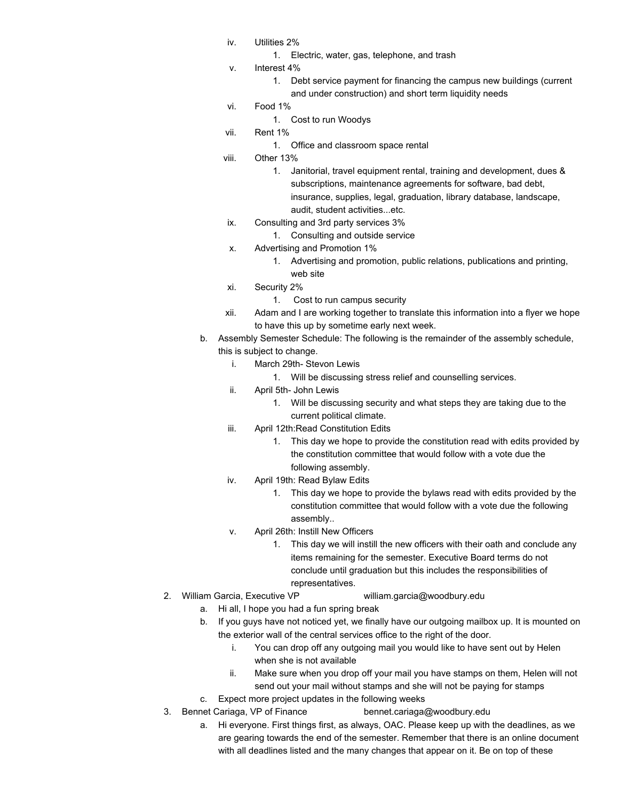- iv. Utilities 2%
	- 1. Electric, water, gas, telephone, and trash
- v. Interest 4%
	- 1. Debt service payment for financing the campus new buildings (current and under construction) and short term liquidity needs
- vi. Food 1%
	- 1. Cost to run Woodys
- vii. Rent 1%
	- 1. Office and classroom space rental
- viii. Other 13%
	- 1. Janitorial, travel equipment rental, training and development, dues & subscriptions, maintenance agreements for software, bad debt, insurance, supplies, legal, graduation, library database, landscape, audit, student activities...etc.
- ix. Consulting and 3rd party services 3%
	- 1. Consulting and outside service
- x. Advertising and Promotion 1%
	- 1. Advertising and promotion, public relations, publications and printing, web site
- xi. Security 2%
	- 1. Cost to run campus security
- xii. Adam and I are working together to translate this information into a flyer we hope to have this up by sometime early next week.
- b. Assembly Semester Schedule: The following is the remainder of the assembly schedule, this is subject to change.
	- i. March 29th- Stevon Lewis
		- 1. Will be discussing stress relief and counselling services.
	- ii. April 5th- John Lewis
		- 1. Will be discussing security and what steps they are taking due to the current political climate.
	- iii. April 12th:Read Constitution Edits
		- 1. This day we hope to provide the constitution read with edits provided by the constitution committee that would follow with a vote due the following assembly.
	- iv. April 19th: Read Bylaw Edits
		- 1. This day we hope to provide the bylaws read with edits provided by the constitution committee that would follow with a vote due the following assembly..
	- v. April 26th: Instill New Officers
		- 1. This day we will instill the new officers with their oath and conclude any items remaining for the semester. Executive Board terms do not conclude until graduation but this includes the responsibilities of representatives.
- 2. William Garcia, Executive VP [william.garcia@woodbury.edu](mailto:william.garcia@woodbury.edu)
	- a. Hi all, I hope you had a fun spring break
	- b. If you guys have not noticed yet, we finally have our outgoing mailbox up. It is mounted on the exterior wall of the central services office to the right of the door.
		- i. You can drop off any outgoing mail you would like to have sent out by Helen when she is not available
		- ii. Make sure when you drop off your mail you have stamps on them, Helen will not send out your mail without stamps and she will not be paying for stamps
	- c. Expect more project updates in the following weeks
- 3. Bennet Cariaga, VP of Finance [bennet.cariaga@woodbury.edu](mailto:bennet.cariaga@woodbury.edu)
	- a. Hi everyone. First things first, as always, OAC. Please keep up with the deadlines, as we are gearing towards the end of the semester. Remember that there is an online document with all deadlines listed and the many changes that appear on it. Be on top of these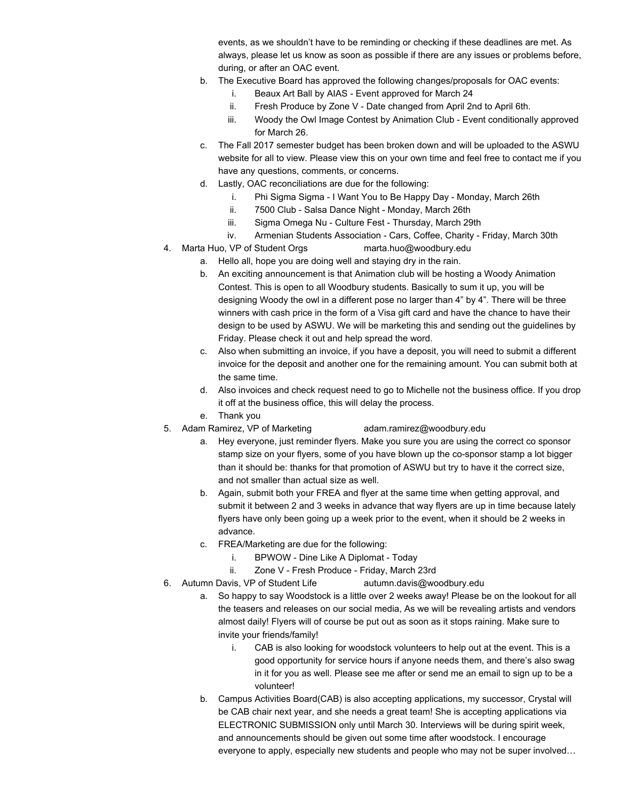events, as we shouldn't have to be reminding or checking if these deadlines are met. As always, please let us know as soon as possible if there are any issues or problems before, during, or after an OAC event.

- b. The Executive Board has approved the following changes/proposals for OAC events:
	- i. Beaux Art Ball by AIAS Event approved for March 24
	- ii. Fresh Produce by Zone V Date changed from April 2nd to April 6th.
	- iii. Woody the Owl Image Contest by Animation Club Event conditionally approved for March 26.
- c. The Fall 2017 semester budget has been broken down and will be uploaded to the ASWU website for all to view. Please view this on your own time and feel free to contact me if you have any questions, comments, or concerns.
- d. Lastly, OAC reconciliations are due for the following:
	- i. Phi Sigma Sigma I Want You to Be Happy Day Monday, March 26th
	- ii. 7500 Club Salsa Dance Night Monday, March 26th
	- iii. Sigma Omega Nu Culture Fest Thursday, March 29th
	- iv. Armenian Students Association Cars, Coffee, Charity Friday, March 30th
- 4. Marta Huo, VP of Student Orgs [marta.huo@woodbury.edu](mailto:marta.huo@woodbury.edu)
	- a. Hello all, hope you are doing well and staying dry in the rain.
	- b. An exciting announcement is that Animation club will be hosting a Woody Animation Contest. This is open to all Woodbury students. Basically to sum it up, you will be designing Woody the owl in a different pose no larger than 4" by 4". There will be three winners with cash price in the form of a Visa gift card and have the chance to have their design to be used by ASWU. We will be marketing this and sending out the guidelines by Friday. Please check it out and help spread the word.
	- c. Also when submitting an invoice, if you have a deposit, you will need to submit a different invoice for the deposit and another one for the remaining amount. You can submit both at the same time.
	- d. Also invoices and check request need to go to Michelle not the business office. If you drop it off at the business office, this will delay the process.
	- e. Thank you
- 5. Adam Ramirez, VP of Marketing [adam.ramirez@woodbury.edu](mailto:adam.ramirez@woodbury.edu)
	- a. Hey everyone, just reminder flyers. Make you sure you are using the correct co sponsor stamp size on your flyers, some of you have blown up the co-sponsor stamp a lot bigger than it should be: thanks for that promotion of ASWU but try to have it the correct size, and not smaller than actual size as well.
	- b. Again, submit both your FREA and flyer at the same time when getting approval, and submit it between 2 and 3 weeks in advance that way flyers are up in time because lately flyers have only been going up a week prior to the event, when it should be 2 weeks in advance.
	- c. FREA/Marketing are due for the following:
		- i. BPWOW Dine Like A Diplomat Today
		- ii. Zone V Fresh Produce Friday, March 23rd
- 6. Autumn Davis, VP of Student Life [autumn.davis@woodbury.edu](mailto:autumn.davis@woodbury.edu)
	- a. So happy to say Woodstock is a little over 2 weeks away! Please be on the lookout for all the teasers and releases on our social media, As we will be revealing artists and vendors almost daily! Flyers will of course be put out as soon as it stops raining. Make sure to invite your friends/family!
		- i. CAB is also looking for woodstock volunteers to help out at the event. This is a good opportunity for service hours if anyone needs them, and there's also swag in it for you as well. Please see me after or send me an email to sign up to be a volunteer!
	- b. Campus Activities Board(CAB) is also accepting applications, my successor, Crystal will be CAB chair next year, and she needs a great team! She is accepting applications via ELECTRONIC SUBMISSION only until March 30. Interviews will be during spirit week, and announcements should be given out some time after woodstock. I encourage everyone to apply, especially new students and people who may not be super involved…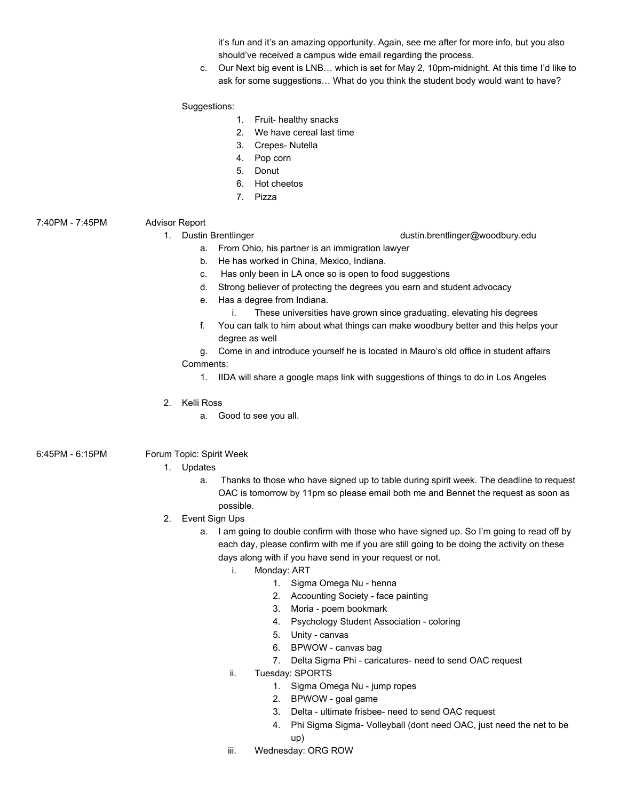it's fun and it's an amazing opportunity. Again, see me after for more info, but you also should've received a campus wide email regarding the process.

c. Our Next big event is LNB… which is set for May 2, 10pm-midnight. At this time I'd like to ask for some suggestions… What do you think the student body would want to have?

### Suggestions:

- 1. Fruit- healthy snacks
- 2. We have cereal last time
- 3. Crepes- Nutella
- 4. Pop corn
- 5. Donut
- 6. Hot cheetos
- 7. Pizza

## 7:40PM - 7:45PM Advisor Report

- a. From Ohio, his partner is an immigration lawyer
- b. He has worked in China, Mexico, Indiana.
- c. Has only been in LA once so is open to food suggestions
- d. Strong believer of protecting the degrees you earn and student advocacy
- e. Has a degree from Indiana.
	- i. These universities have grown since graduating, elevating his degrees
- f. You can talk to him about what things can make woodbury better and this helps your degree as well
- g. Come in and introduce yourself he is located in Mauro's old office in student affairs Comments:
	- 1. IIDA will share a google maps link with suggestions of things to do in Los Angeles
- 2. Kelli Ross
	- a. Good to see you all.

## 6:45PM - 6:15PM Forum Topic: Spirit Week

## 1. Updates

- a. Thanks to those who have signed up to table during spirit week. The deadline to request OAC is tomorrow by 11pm so please email both me and Bennet the request as soon as possible.
- 2. Event Sign Ups
	- a. I am going to double confirm with those who have signed up. So I'm going to read off by each day, please confirm with me if you are still going to be doing the activity on these days along with if you have send in your request or not.
		- i. Monday: ART
			- 1. Sigma Omega Nu henna
			- 2. Accounting Society face painting
			- 3. Moria poem bookmark
			- 4. Psychology Student Association coloring
			- 5. Unity canvas
			- 6. BPWOW canvas bag
			- 7. Delta Sigma Phi caricatures- need to send OAC request
		- ii. Tuesday: SPORTS
			- 1. Sigma Omega Nu jump ropes
			- 2. BPWOW goal game
			- 3. Delta ultimate frisbee- need to send OAC request
			- 4. Phi Sigma Sigma- Volleyball (dont need OAC, just need the net to be up)
		- iii. Wednesday: ORG ROW

1. Dustin Brentlinger dustin.brentlinger@woodbury.edu